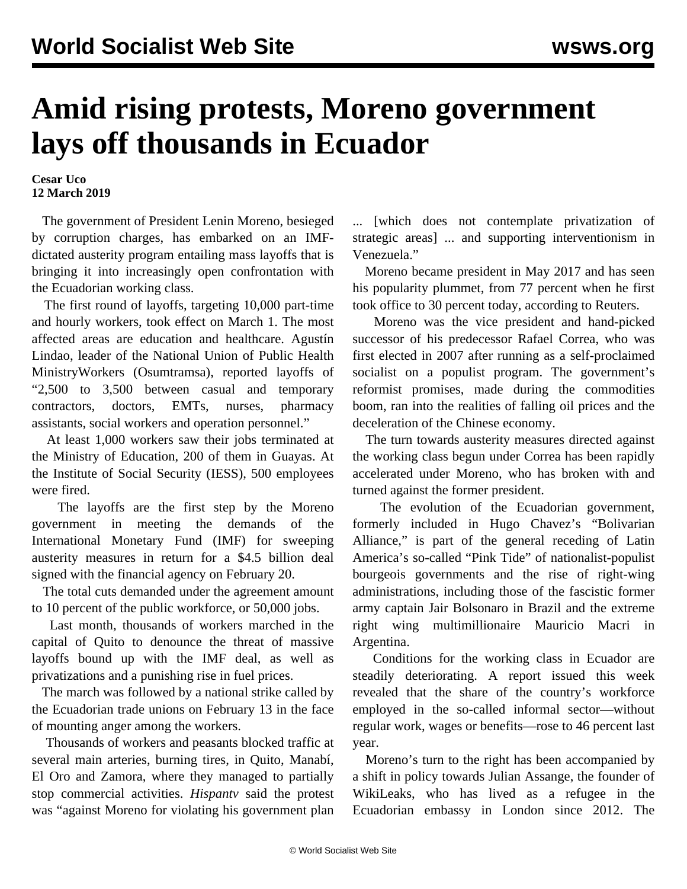## **Amid rising protests, Moreno government lays off thousands in Ecuador**

## **Cesar Uco 12 March 2019**

 The government of President Lenin Moreno, besieged by corruption charges, has embarked on an IMFdictated austerity program entailing mass layoffs that is bringing it into increasingly open confrontation with the Ecuadorian working class.

 The first round of layoffs, targeting 10,000 part-time and hourly workers, took effect on March 1. The most affected areas are education and healthcare. Agustín Lindao, leader of the National Union of Public Health MinistryWorkers (Osumtramsa), reported layoffs of "2,500 to 3,500 between casual and temporary contractors, doctors, EMTs, nurses, pharmacy assistants, social workers and operation personnel."

 At least 1,000 workers saw their jobs terminated at the Ministry of Education, 200 of them in Guayas. At the Institute of Social Security (IESS), 500 employees were fired.

 The layoffs are the first step by the Moreno government in meeting the demands of the International Monetary Fund (IMF) for sweeping austerity measures in return for a \$4.5 billion deal signed with the financial agency on February 20.

 The total cuts demanded under the agreement amount to 10 percent of the public workforce, or 50,000 jobs.

 Last month, thousands of workers marched in the capital of Quito to denounce the threat of massive layoffs bound up with the IMF deal, as well as privatizations and a punishing rise in fuel prices.

 The march was followed by a national strike called by the Ecuadorian trade unions on February 13 in the face of mounting anger among the workers.

 Thousands of workers and peasants blocked traffic at several main arteries, burning tires, in Quito, Manabí, El Oro and Zamora, where they managed to partially stop commercial activities. *Hispantv* said the protest was "against Moreno for violating his government plan

... [which does not contemplate privatization of strategic areas] ... and supporting interventionism in Venezuela."

 Moreno became president in May 2017 and has seen his popularity plummet, from 77 percent when he first took office to 30 percent today, according to Reuters.

 Moreno was the vice president and hand-picked successor of his predecessor Rafael Correa, who was first elected in 2007 after running as a self-proclaimed socialist on a populist program. The government's reformist promises, made during the commodities boom, ran into the realities of falling oil prices and the deceleration of the Chinese economy.

 The turn towards austerity measures directed against the working class begun under Correa has been rapidly accelerated under Moreno, who has broken with and turned against the former president.

 The evolution of the Ecuadorian government, formerly included in Hugo Chavez's "Bolivarian Alliance," is part of the general receding of Latin America's so-called "Pink Tide" of nationalist-populist bourgeois governments and the rise of right-wing administrations, including those of the fascistic former army captain Jair Bolsonaro in Brazil and the extreme right wing multimillionaire Mauricio Macri in Argentina.

 Conditions for the working class in Ecuador are steadily deteriorating. A report issued this week revealed that the share of the country's workforce employed in the so-called informal sector—without regular work, wages or benefits—rose to 46 percent last year.

 Moreno's turn to the right has been accompanied by a shift in policy towards Julian Assange, the founder of WikiLeaks, who has lived as a refugee in the Ecuadorian embassy in London since 2012. The